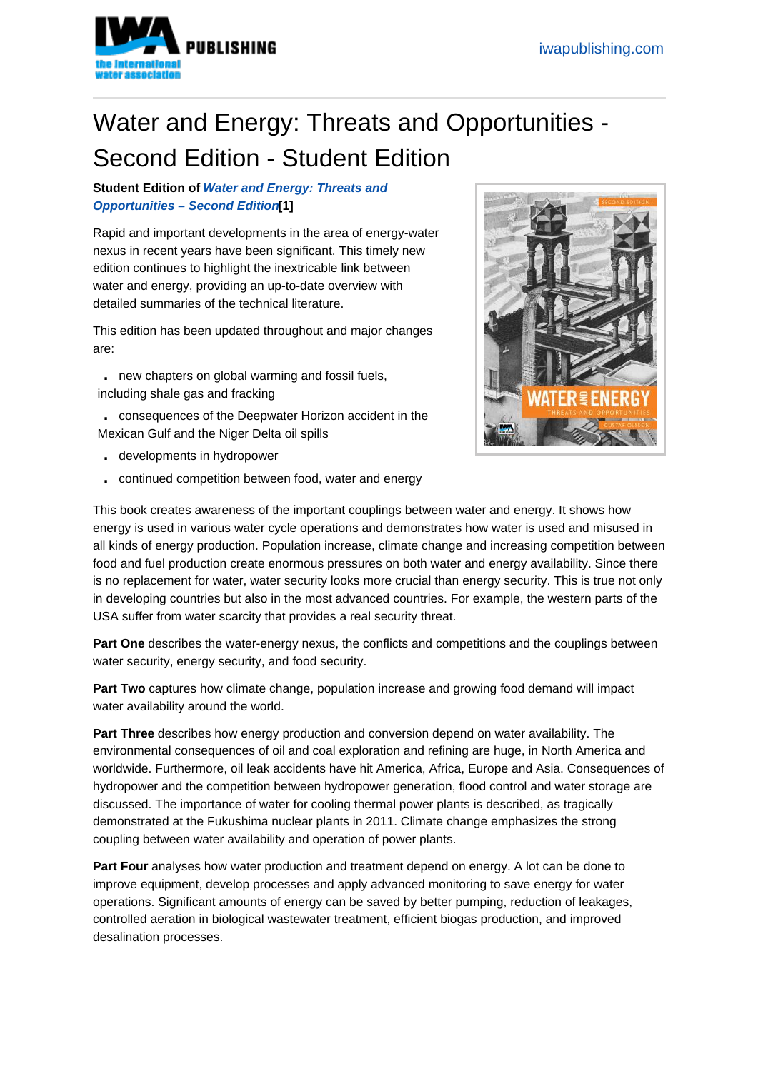## Water and Energy: Threats and Opportu[nities -](https://www.iwapublishing.com)  Second Edition - Student Edition

Student Edition of Water and Energy: Threats and Opportunities – Second Edition [1]

Rapid and important developments in the area of energy-water nexus in recent yea[rs have been significant. This time](http://www.iwapublishing.com/books/9781780406930/water-and-energy-threats-and-opportunities-second-edition)ly new [edition continues to highlight the in](http://www.iwapublishing.com/books/9781780406930/water-and-energy-threats-and-opportunities-second-edition)extricable link between water and energy, providing an up-to-date overview with detailed summaries of the technical literature.

This edition has been updated throughout and major changes are:

- . new chapters on global warming and fossil fuels, including shale gas and fracking
- . consequences of the Deepwater Horizon accident in the Mexican Gulf and the Niger Delta oil spills
- . developments in hydropower
- . continued competition between food, water and energy

This book creates awareness of the important couplings between water and energy. It shows how energy is used in various water cycle operations and demonstrates how water is used and misused in all kinds of energy production. Population increase, climate change and increasing competition between food and fuel production create enormous pressures on both water and energy availability. Since there is no replacement for water, water security looks more crucial than energy security. This is true not only in developing countries but also in the most advanced countries. For example, the western parts of the USA suffer from water scarcity that provides a real security threat.

Part One describes the water-energy nexus, the conflicts and competitions and the couplings between water security, energy security, and food security.

Part Two captures how climate change, population increase and growing food demand will impact water availability around the world.

Part Three describes how energy production and conversion depend on water availability. The environmental consequences of oil and coal exploration and refining are huge, in North America and worldwide. Furthermore, oil leak accidents have hit America, Africa, Europe and Asia. Consequences of hydropower and the competition between hydropower generation, flood control and water storage are discussed. The importance of water for cooling thermal power plants is described, as tragically demonstrated at the Fukushima nuclear plants in 2011. Climate change emphasizes the strong coupling between water availability and operation of power plants.

Part Four analyses how water production and treatment depend on energy. A lot can be done to improve equipment, develop processes and apply advanced monitoring to save energy for water operations. Significant amounts of energy can be saved by better pumping, reduction of leakages, controlled aeration in biological wastewater treatment, efficient biogas production, and improved desalination processes.